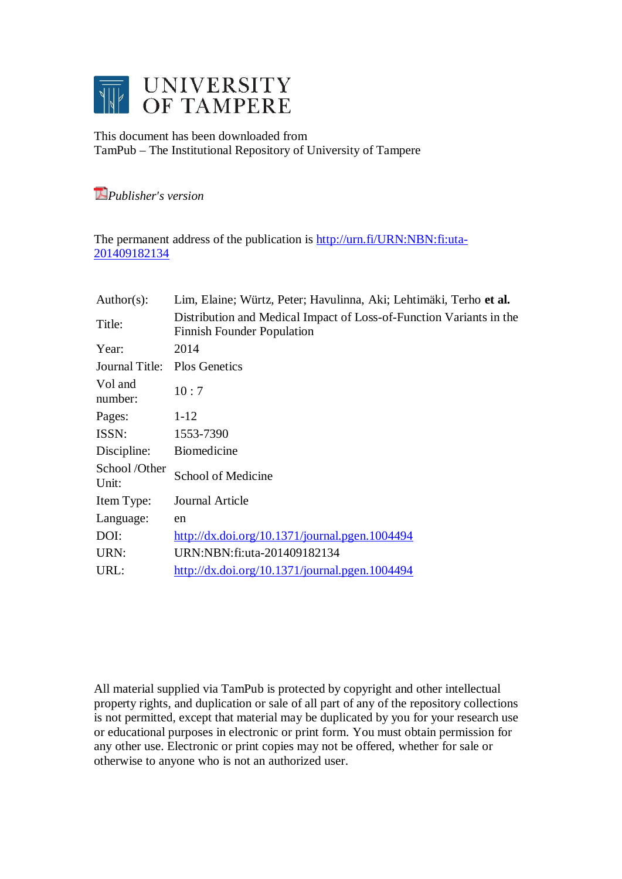

This document has been downloaded from TamPub – The Institutional Repository of University of Tampere

*Publisher's version* 

The permanent address of the publication is [http://urn.fi/URN:NBN:fi:uta-](http://urn.fi/URN:NBN:fi:uta-201409182134)[201409182134](http://urn.fi/URN:NBN:fi:uta-201409182134)

| Lim, Elaine; Würtz, Peter; Havulinna, Aki; Lehtimäki, Terho et al.                                       |
|----------------------------------------------------------------------------------------------------------|
| Distribution and Medical Impact of Loss-of-Function Variants in the<br><b>Finnish Founder Population</b> |
| 2014                                                                                                     |
| <b>Plos Genetics</b>                                                                                     |
| 10:7                                                                                                     |
| $1 - 12$                                                                                                 |
| 1553-7390                                                                                                |
| <b>Biomedicine</b>                                                                                       |
| School of Medicine                                                                                       |
| Journal Article                                                                                          |
| en                                                                                                       |
| $\frac{http://dx.doi.org/10.1371/journal.pgen.1004494}{$                                                 |
| URN:NBN:fi:uta-201409182134                                                                              |
| http://dx.doi.org/10.1371/journal.pgen.1004494                                                           |
|                                                                                                          |

All material supplied via TamPub is protected by copyright and other intellectual property rights, and duplication or sale of all part of any of the repository collections is not permitted, except that material may be duplicated by you for your research use or educational purposes in electronic or print form. You must obtain permission for any other use. Electronic or print copies may not be offered, whether for sale or otherwise to anyone who is not an authorized user.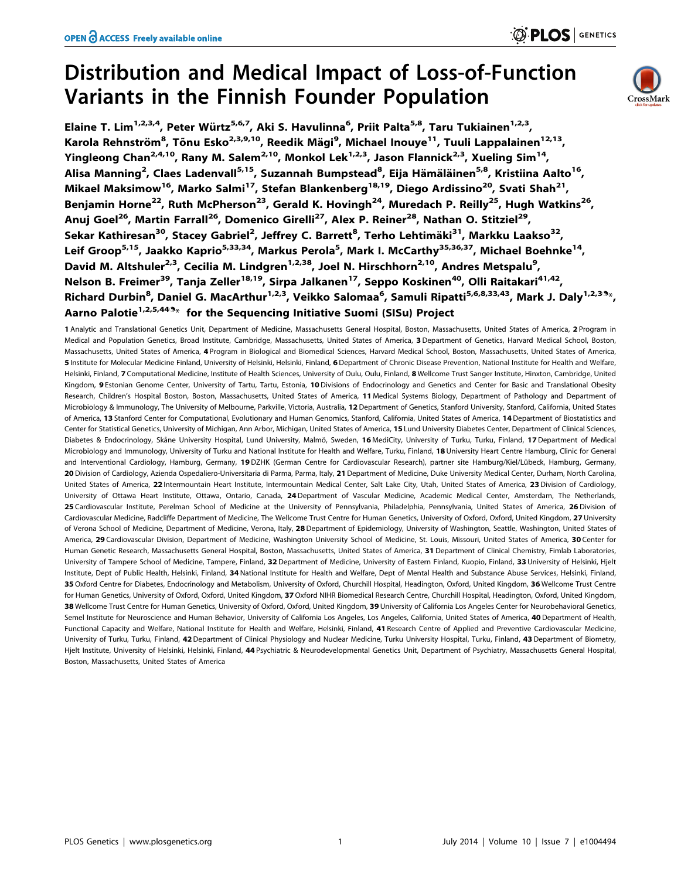# Distribution and Medical Impact of Loss-of-Function Variants in the Finnish Founder Population



 $\odot$  PLOS  $|$  genetics

Elaine T. Lim<sup>1,2,3,4</sup>, Peter Würtz<sup>5,6,7</sup>, Aki S. Havulinna<sup>6</sup>, Priit Palta<sup>5,8</sup>, Taru Tukiainen<sup>1,2,3</sup>, Karola Rehnström<sup>8</sup>, Tõnu Esko<sup>2,3,9,10</sup>, Reedik Mägi<sup>9</sup>, Michael Inouye<sup>11</sup>, Tuuli Lappalainen<sup>12,13</sup>, Yingleong Chan<sup>2,4,10</sup>, Rany M. Salem<sup>2,10</sup>, Monkol Lek<sup>1,2,3</sup>, Jason Flannick<sup>2,3</sup>, Xueling Sim<sup>14</sup>, Alisa Manning<sup>2</sup>, Claes Ladenvall<sup>5,15</sup>, Suzannah Bumpstead<sup>8</sup>, Eija Hämäläinen<sup>5,8</sup>, Kristiina Aalto<sup>16</sup>, Mikael Maksimow<sup>16</sup>, Marko Salmi<sup>17</sup>, Stefan Blankenberg<sup>18,19</sup>, Diego Ardissino<sup>20</sup>, Svati Shah<sup>21</sup>, Benjamin Horne<sup>22</sup>, Ruth McPherson<sup>23</sup>, Gerald K. Hovingh<sup>24</sup>, Muredach P. Reilly<sup>25</sup>, Hugh Watkins<sup>26</sup>, Anui Goel<sup>26</sup>, Martin Farrall<sup>26</sup>, Domenico Girelli<sup>27</sup>, Alex P. Reiner<sup>28</sup>, Nathan O. Stitziel<sup>29</sup>, Sekar Kathiresan<sup>30</sup>, Stacey Gabriel<sup>2</sup>, Jeffrey C. Barrett<sup>8</sup>, Terho Lehtimäki<sup>31</sup>, Markku Laakso<sup>32</sup>, Leif Groop<sup>5,15</sup>, Jaakko Kaprio<sup>5,33,34</sup>, Markus Perola<sup>5</sup>, Mark I. McCarthy<sup>35,36,37</sup>, Michael Boehnke<sup>14</sup>, David M. Altshuler<sup>2,3</sup>, Cecilia M. Lindgren<sup>1,2,38</sup>, Joel N. Hirschhorn<sup>2,10</sup>, Andres Metspalu<sup>9</sup>, Nelson B. Freimer<sup>39</sup>, Tanja Zeller<sup>18,19</sup>, Sirpa Jalkanen<sup>17</sup>, Seppo Koskinen<sup>40</sup>, Olli Raitakari<sup>41,42</sup>, Richard Durbin<sup>8</sup>, Daniel G. MacArthur<sup>1,2,3</sup>, Veikko Salomaa<sup>6</sup>, Samuli Ripatti<sup>5,6,8,33,43</sup>, Mark J. Daly<sup>1,2,39</sup>\*, Aarno Palotie<sup>1,2,5,449</sup>\* for the Sequencing Initiative Suomi (SISu) Project

1 Analytic and Translational Genetics Unit, Department of Medicine, Massachusetts General Hospital, Boston, Massachusetts, United States of America, 2 Program in Medical and Population Genetics, Broad Institute, Cambridge, Massachusetts, United States of America, 3 Department of Genetics, Harvard Medical School, Boston, Massachusetts, United States of America, 4 Program in Biological and Biomedical Sciences, Harvard Medical School, Boston, Massachusetts, United States of America, 5 Institute for Molecular Medicine Finland, University of Helsinki, Helsinki, Finland, 6 Department of Chronic Disease Prevention, National Institute for Health and Welfare, Helsinki, Finland, 7 Computational Medicine, Institute of Health Sciences, University of Oulu, Oulu, Finland, 8 Wellcome Trust Sanger Institute, Hinxton, Cambridge, United Kingdom, 9 Estonian Genome Center, University of Tartu, Tartu, Estonia, 10Divisions of Endocrinology and Genetics and Center for Basic and Translational Obesity Research, Children's Hospital Boston, Boston, Massachusetts, United States of America, 11 Medical Systems Biology, Department of Pathology and Department of Microbiology & Immunology, The University of Melbourne, Parkville, Victoria, Australia, 12 Department of Genetics, Stanford University, Stanford, California, United States of America, 13 Stanford Center for Computational, Evolutionary and Human Genomics, Stanford, California, United States of America, 14 Department of Biostatistics and Center for Statistical Genetics, University of Michigan, Ann Arbor, Michigan, United States of America, 15 Lund University Diabetes Center, Department of Clinical Sciences, Diabetes & Endocrinology, Skåne University Hospital, Lund University, Malmö, Sweden, 16 MediCity, University of Turku, Turku, Finland, 17 Department of Medical Microbiology and Immunology, University of Turku and National Institute for Health and Welfare, Turku, Finland, 18 University Heart Centre Hamburg, Clinic for General and Interventional Cardiology, Hamburg, Germany, 19 DZHK (German Centre for Cardiovascular Research), partner site Hamburg/Kiel/Lübeck, Hamburg, Germany, 20 Division of Cardiology, Azienda Ospedaliero-Universitaria di Parma, Parma, Italy, 21 Department of Medicine, Duke University Medical Center, Durham, North Carolina, United States of America, 22 Intermountain Heart Institute, Intermountain Medical Center, Salt Lake City, Utah, United States of America, 23 Division of Cardiology, University of Ottawa Heart Institute, Ottawa, Ontario, Canada, 24 Department of Vascular Medicine, Academic Medical Center, Amsterdam, The Netherlands, 25 Cardiovascular Institute, Perelman School of Medicine at the University of Pennsylvania, Philadelphia, Pennsylvania, United States of America, 26 Division of Cardiovascular Medicine, Radcliffe Department of Medicine, The Wellcome Trust Centre for Human Genetics, University of Oxford, Oxford, United Kingdom, 27 University of Verona School of Medicine, Department of Medicine, Verona, Italy, 28 Department of Epidemiology, University of Washington, Seattle, Washington, United States of America, 29 Cardiovascular Division, Department of Medicine, Washington University School of Medicine, St. Louis, Missouri, United States of America, 30 Center for Human Genetic Research, Massachusetts General Hospital, Boston, Massachusetts, United States of America, 31 Department of Clinical Chemistry, Fimlab Laboratories, University of Tampere School of Medicine, Tampere, Finland, 32 Department of Medicine, University of Eastern Finland, Kuopio, Finland, 33 University of Helsinki, Hjelt Institute, Dept of Public Health, Helsinki, Finland, 34 National Institute for Health and Welfare, Dept of Mental Health and Substance Abuse Services, Helsinki, Finland, 35 Oxford Centre for Diabetes, Endocrinology and Metabolism, University of Oxford, Churchill Hospital, Headington, Oxford, United Kingdom, 36 Wellcome Trust Centre for Human Genetics, University of Oxford, Oxford, United Kingdom, 37 Oxford NIHR Biomedical Research Centre, Churchill Hospital, Headington, Oxford, United Kingdom, 38 Wellcome Trust Centre for Human Genetics, University of Oxford, Oxford, United Kingdom, 39 University of California Los Angeles Center for Neurobehavioral Genetics, Semel Institute for Neuroscience and Human Behavior, University of California Los Angeles, Los Angeles, California, United States of America, 40 Department of Health, Functional Capacity and Welfare, National Institute for Health and Welfare, Helsinki, Finland, 41 Research Centre of Applied and Preventive Cardiovascular Medicine, University of Turku, Turku, Finland, 42 Department of Clinical Physiology and Nuclear Medicine, Turku University Hospital, Turku, Finland, 43 Department of Biometry, Hjelt Institute, University of Helsinki, Helsinki, Finland, 44 Psychiatric & Neurodevelopmental Genetics Unit, Department of Psychiatry, Massachusetts General Hospital, Boston, Massachusetts, United States of America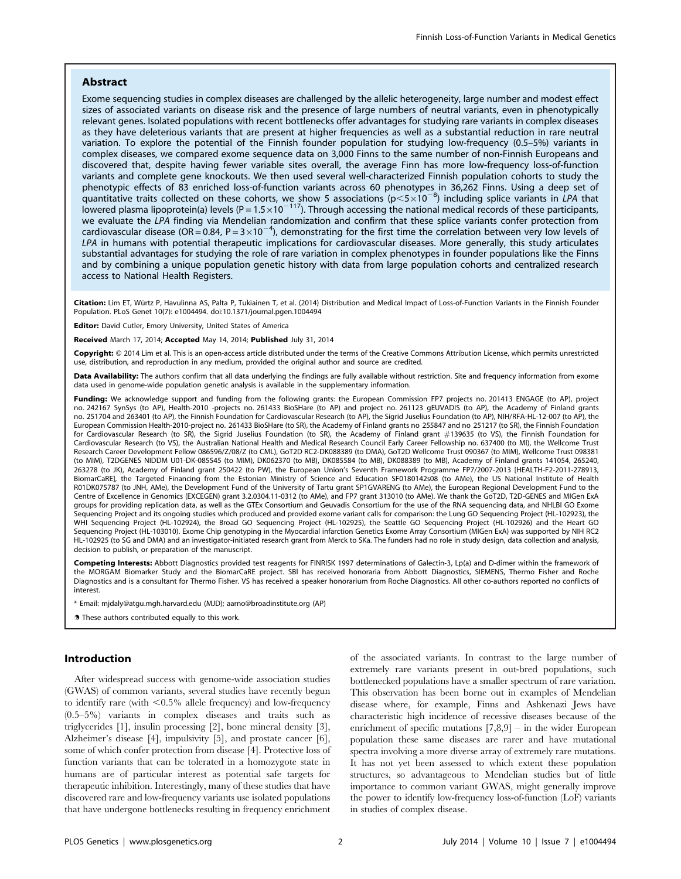# Abstract

Exome sequencing studies in complex diseases are challenged by the allelic heterogeneity, large number and modest effect sizes of associated variants on disease risk and the presence of large numbers of neutral variants, even in phenotypically relevant genes. Isolated populations with recent bottlenecks offer advantages for studying rare variants in complex diseases as they have deleterious variants that are present at higher frequencies as well as a substantial reduction in rare neutral variation. To explore the potential of the Finnish founder population for studying low-frequency (0.5–5%) variants in complex diseases, we compared exome sequence data on 3,000 Finns to the same number of non-Finnish Europeans and discovered that, despite having fewer variable sites overall, the average Finn has more low-frequency loss-of-function variants and complete gene knockouts. We then used several well-characterized Finnish population cohorts to study the phenotypic effects of 83 enriched loss-of-function variants across 60 phenotypes in 36,262 Finns. Using a deep set of quantitative traits collected on these cohorts, we show 5 associations (p<5×10<sup>-8</sup>) including splice variants in LPA that<br>lowered plasma lipoprotein(a) levels (P=1.5×10<sup>-117</sup>). Through accessing the national medical recor we evaluate the LPA finding via Mendelian randomization and confirm that these splice variants confer protection from cardiovascular disease (OR=0.84, P=3 $\times$ 10<sup>-4</sup>), demonstrating for the first time the correlation between very low levels of LPA in humans with potential therapeutic implications for cardiovascular diseases. More generally, this study articulates substantial advantages for studying the role of rare variation in complex phenotypes in founder populations like the Finns and by combining a unique population genetic history with data from large population cohorts and centralized research access to National Health Registers.

Citation: Lim ET, Würtz P, Havulinna AS, Palta P, Tukiainen T, et al. (2014) Distribution and Medical Impact of Loss-of-Function Variants in the Finnish Founder Population. PLoS Genet 10(7): e1004494. doi:10.1371/journal.pgen.1004494

Editor: David Cutler, Emory University, United States of America

#### Received March 17, 2014; Accepted May 14, 2014; Published July 31, 2014

**Copyright:** © 2014 Lim et al. This is an open-access article distributed under the terms of the [Creative Commons Attribution License,](http://creativecommons.org/licenses/by/4.0/) which permits unrestricted use, distribution, and reproduction in any medium, provided the original author and source are credited.

Data Availability: The authors confirm that all data underlying the findings are fully available without restriction. Site and frequency information from exome data used in genome-wide population genetic analysis is available in the supplementary information.

Funding: We acknowledge support and funding from the following grants: the European Commission FP7 projects no. 201413 ENGAGE (to AP), project no. 242167 SynSys (to AP), Health-2010 -projects no. 261433 BioSHare (to AP) and project no. 261123 gEUVADIS (to AP), the Academy of Finland grants no. 251704 and 263401 (to AP), the Finnish Foundation for Cardiovascular Research (to AP), the Sigrid Juselius Foundation (to AP), NIH/RFA-HL-12-007 (to AP), the European Commission Health-2010-project no. 261433 BioSHare (to SR), the Academy of Finland grants no 255847 and no 251217 (to SR), the Finnish Foundation for Cardiovascular Research (to SR), the Sigrid Juselius Foundation (to SR), the Academy of Finland grant #139635 (to VS), the Finnish Foundation for Cardiovascular Research (to VS), the Australian National Health and Medical Research Council Early Career Fellowship no. 637400 (to MI), the Wellcome Trust Research Career Development Fellow 086596/Z/08/Z (to CML), GoT2D RC2-DK088389 (to DMA), GoT2D Wellcome Trust 090367 (to MIM), Wellcome Trust 098381 (to MIM), T2DGENES NIDDM U01-DK-085545 (to MIM), DK062370 (to MB), DK085584 (to MB), DK088389 (to MB), Academy of Finland grants 141054, 265240, 263278 (to JK), Academy of Finland grant 250422 (to PW), the European Union's Seventh Framework Programme FP7/2007-2013 [HEALTH-F2-2011-278913, BiomarCaRE], the Targeted Financing from the Estonian Ministry of Science and Education SF0180142s08 (to AMe), the US National Institute of Health R01DK075787 (to JNH, AMe), the Development Fund of the University of Tartu grant SP1GVARENG (to AMe), the European Regional Development Fund to the Centre of Excellence in Genomics (EXCEGEN) grant 3.2.0304.11-0312 (to AMe), and FP7 grant 313010 (to AMe). We thank the GoT2D, T2D-GENES and MIGen ExA groups for providing replication data, as well as the GTEx Consortium and Geuvadis Consortium for the use of the RNA sequencing data, and NHLBI GO Exome Sequencing Project and its ongoing studies which produced and provided exome variant calls for comparison: the Lung GO Sequencing Project (HL-102923), the WHI Sequencing Project (HL-102924), the Broad GO Sequencing Project (HL-102925), the Seattle GO Sequencing Project (HL-102926) and the Heart GO Sequencing Project (HL-103010). Exome Chip genotyping in the Myocardial infarction Genetics Exome Array Consortium (MIGen ExA) was supported by NIH RC2 HL-102925 (to SG and DMA) and an investigator-initiated research grant from Merck to SKa. The funders had no role in study design, data collection and analysis, decision to publish, or preparation of the manuscript.

Competing Interests: Abbott Diagnostics provided test reagents for FINRISK 1997 determinations of Galectin-3, Lp(a) and D-dimer within the framework of the MORGAM Biomarker Study and the BiomarCaRE project. SBl has received honoraria from Abbott Diagnostics, SIEMENS, Thermo Fisher and Roche Diagnostics and is a consultant for Thermo Fisher. VS has received a speaker honorarium from Roche Diagnostics. All other co-authors reported no conflicts of interest.

Email: mjdaly@atgu.mgh.harvard.edu (MJD); aarno@broadinstitute.org (AP)

. These authors contributed equally to this work.

# Introduction

After widespread success with genome-wide association studies (GWAS) of common variants, several studies have recently begun to identify rare (with  $\leq 0.5\%$  allele frequency) and low-frequency (0.5–5%) variants in complex diseases and traits such as triglycerides [1], insulin processing [2], bone mineral density [3], Alzheimer's disease [4], impulsivity [5], and prostate cancer [6], some of which confer protection from disease [4]. Protective loss of function variants that can be tolerated in a homozygote state in humans are of particular interest as potential safe targets for therapeutic inhibition. Interestingly, many of these studies that have discovered rare and low-frequency variants use isolated populations that have undergone bottlenecks resulting in frequency enrichment

of the associated variants. In contrast to the large number of extremely rare variants present in out-bred populations, such bottlenecked populations have a smaller spectrum of rare variation. This observation has been borne out in examples of Mendelian disease where, for example, Finns and Ashkenazi Jews have characteristic high incidence of recessive diseases because of the enrichment of specific mutations [7,8,9] – in the wider European population these same diseases are rarer and have mutational spectra involving a more diverse array of extremely rare mutations. It has not yet been assessed to which extent these population structures, so advantageous to Mendelian studies but of little importance to common variant GWAS, might generally improve the power to identify low-frequency loss-of-function (LoF) variants in studies of complex disease.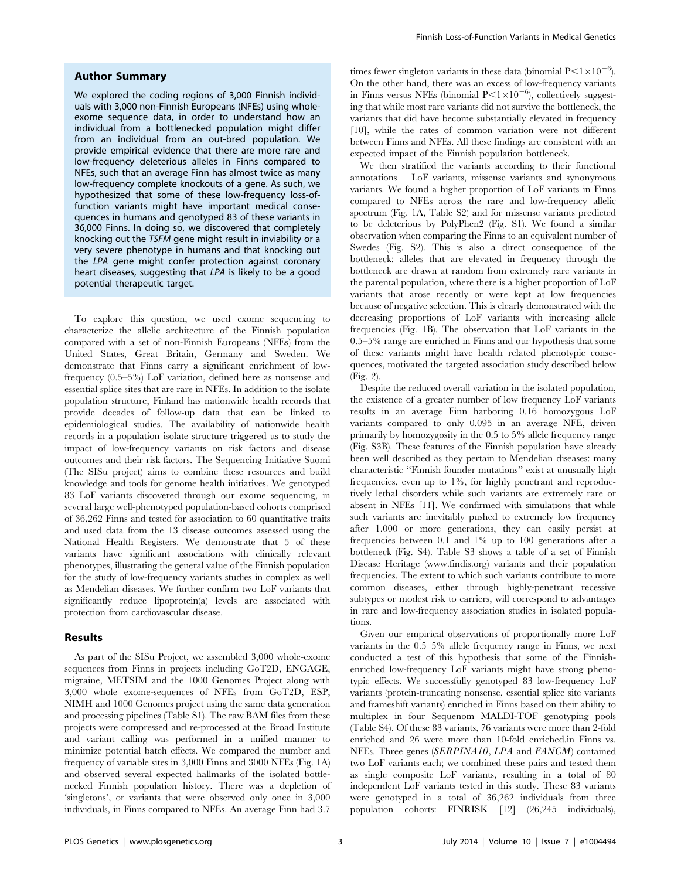## Author Summary

We explored the coding regions of 3,000 Finnish individuals with 3,000 non-Finnish Europeans (NFEs) using wholeexome sequence data, in order to understand how an individual from a bottlenecked population might differ from an individual from an out-bred population. We provide empirical evidence that there are more rare and low-frequency deleterious alleles in Finns compared to NFEs, such that an average Finn has almost twice as many low-frequency complete knockouts of a gene. As such, we hypothesized that some of these low-frequency loss-offunction variants might have important medical consequences in humans and genotyped 83 of these variants in 36,000 Finns. In doing so, we discovered that completely knocking out the TSFM gene might result in inviability or a very severe phenotype in humans and that knocking out the LPA gene might confer protection against coronary heart diseases, suggesting that LPA is likely to be a good potential therapeutic target.

To explore this question, we used exome sequencing to characterize the allelic architecture of the Finnish population compared with a set of non-Finnish Europeans (NFEs) from the United States, Great Britain, Germany and Sweden. We demonstrate that Finns carry a significant enrichment of lowfrequency (0.5–5%) LoF variation, defined here as nonsense and essential splice sites that are rare in NFEs. In addition to the isolate population structure, Finland has nationwide health records that provide decades of follow-up data that can be linked to epidemiological studies. The availability of nationwide health records in a population isolate structure triggered us to study the impact of low-frequency variants on risk factors and disease outcomes and their risk factors. The Sequencing Initiative Suomi (The SISu project) aims to combine these resources and build knowledge and tools for genome health initiatives. We genotyped 83 LoF variants discovered through our exome sequencing, in several large well-phenotyped population-based cohorts comprised of 36,262 Finns and tested for association to 60 quantitative traits and used data from the 13 disease outcomes assessed using the National Health Registers. We demonstrate that 5 of these variants have significant associations with clinically relevant phenotypes, illustrating the general value of the Finnish population for the study of low-frequency variants studies in complex as well as Mendelian diseases. We further confirm two LoF variants that significantly reduce lipoprotein(a) levels are associated with protection from cardiovascular disease.

### Results

As part of the SISu Project, we assembled 3,000 whole-exome sequences from Finns in projects including GoT2D, ENGAGE, migraine, METSIM and the 1000 Genomes Project along with 3,000 whole exome-sequences of NFEs from GoT2D, ESP, NIMH and 1000 Genomes project using the same data generation and processing pipelines (Table S1). The raw BAM files from these projects were compressed and re-processed at the Broad Institute and variant calling was performed in a unified manner to minimize potential batch effects. We compared the number and frequency of variable sites in 3,000 Finns and 3000 NFEs (Fig. 1A) and observed several expected hallmarks of the isolated bottlenecked Finnish population history. There was a depletion of 'singletons', or variants that were observed only once in 3,000 individuals, in Finns compared to NFEs. An average Finn had 3.7

times fewer singleton variants in these data (binomial  $P<1\times10^{-6}$ ). On the other hand, there was an excess of low-frequency variants in Finns versus NFEs (binomial  $P<1\times10^{-6}$ ), collectively suggesting that while most rare variants did not survive the bottleneck, the variants that did have become substantially elevated in frequency [10], while the rates of common variation were not different between Finns and NFEs. All these findings are consistent with an expected impact of the Finnish population bottleneck.

We then stratified the variants according to their functional annotations – LoF variants, missense variants and synonymous variants. We found a higher proportion of LoF variants in Finns compared to NFEs across the rare and low-frequency allelic spectrum (Fig. 1A, Table S2) and for missense variants predicted to be deleterious by PolyPhen2 (Fig. S1). We found a similar observation when comparing the Finns to an equivalent number of Swedes (Fig. S2). This is also a direct consequence of the bottleneck: alleles that are elevated in frequency through the bottleneck are drawn at random from extremely rare variants in the parental population, where there is a higher proportion of LoF variants that arose recently or were kept at low frequencies because of negative selection. This is clearly demonstrated with the decreasing proportions of LoF variants with increasing allele frequencies (Fig. 1B). The observation that LoF variants in the 0.5–5% range are enriched in Finns and our hypothesis that some of these variants might have health related phenotypic consequences, motivated the targeted association study described below (Fig. 2).

Despite the reduced overall variation in the isolated population, the existence of a greater number of low frequency LoF variants results in an average Finn harboring 0.16 homozygous LoF variants compared to only 0.095 in an average NFE, driven primarily by homozygosity in the 0.5 to 5% allele frequency range (Fig. S3B). These features of the Finnish population have already been well described as they pertain to Mendelian diseases: many characteristic ''Finnish founder mutations'' exist at unusually high frequencies, even up to 1%, for highly penetrant and reproductively lethal disorders while such variants are extremely rare or absent in NFEs [11]. We confirmed with simulations that while such variants are inevitably pushed to extremely low frequency after 1,000 or more generations, they can easily persist at frequencies between 0.1 and 1% up to 100 generations after a bottleneck (Fig. S4). Table S3 shows a table of a set of Finnish Disease Heritage [\(www.findis.org\)](www.findis.org) variants and their population frequencies. The extent to which such variants contribute to more common diseases, either through highly-penetrant recessive subtypes or modest risk to carriers, will correspond to advantages in rare and low-frequency association studies in isolated populations.

Given our empirical observations of proportionally more LoF variants in the 0.5–5% allele frequency range in Finns, we next conducted a test of this hypothesis that some of the Finnishenriched low-frequency LoF variants might have strong phenotypic effects. We successfully genotyped 83 low-frequency LoF variants (protein-truncating nonsense, essential splice site variants and frameshift variants) enriched in Finns based on their ability to multiplex in four Sequenom MALDI-TOF genotyping pools (Table S4). Of these 83 variants, 76 variants were more than 2-fold enriched and 26 were more than 10-fold enriched.in Finns vs. NFEs. Three genes (SERPINA10, LPA and FANCM) contained two LoF variants each; we combined these pairs and tested them as single composite LoF variants, resulting in a total of 80 independent LoF variants tested in this study. These 83 variants were genotyped in a total of 36,262 individuals from three population cohorts: FINRISK [12] (26,245 individuals),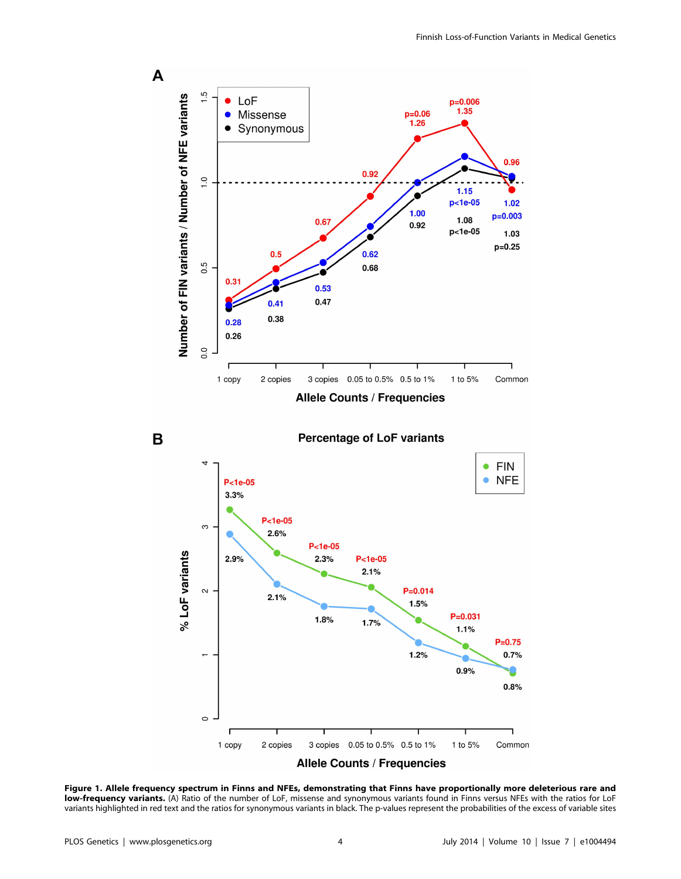



**Percentage of LoF variants** 



Figure 1. Allele frequency spectrum in Finns and NFEs, demonstrating that Finns have proportionally more deleterious rare and low-frequency variants. (A) Ratio of the number of LoF, missense and synonymous variants found in Finns versus NFEs with the ratios for LoF variants highlighted in red text and the ratios for synonymous variants in black. The p-values represent the probabilities of the excess of variable sites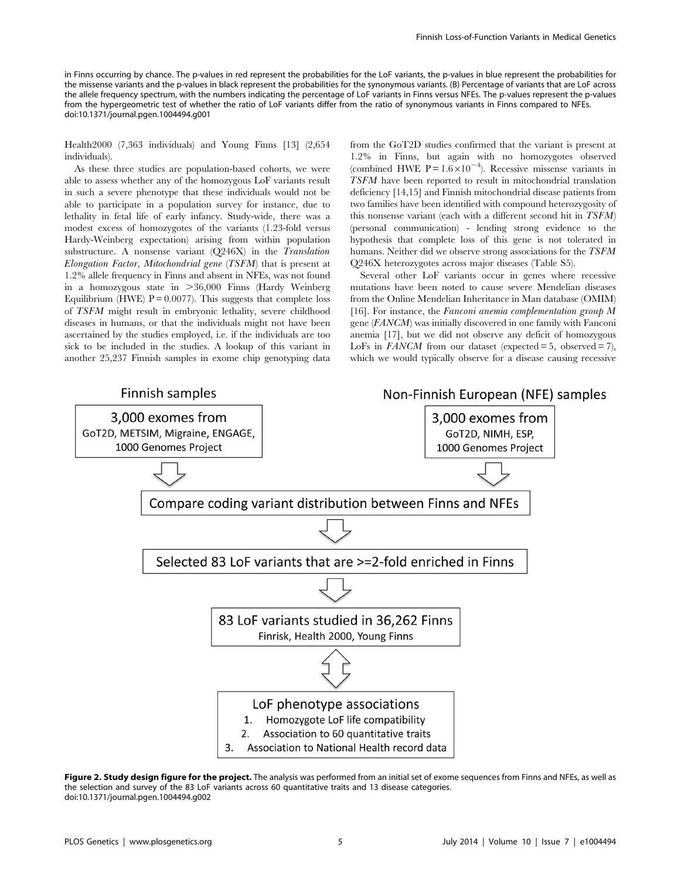in Finns occurring by chance. The p-values in red represent the probabilities for the LoF variants, the p-values in blue represent the probabilities for the missense variants and the p-values in black represent the probabilities for the synonymous variants. (B) Percentage of variants that are LoF across the allele frequency spectrum, with the numbers indicating the percentage of LoF variants in Finns versus NFEs. The p-values represent the p-values from the hypergeometric test of whether the ratio of LoF variants differ from the ratio of synonymous variants in Finns compared to NFEs. doi:10.1371/journal.pgen.1004494.g001

Health2000 (7,363 individuals) and Young Finns [13] (2,654 individuals).

As these three studies are population-based cohorts, we were able to assess whether any of the homozygous LoF variants result in such a severe phenotype that these individuals would not be able to participate in a population survey for instance, due to lethality in fetal life of early infancy. Study-wide, there was a modest excess of homozygotes of the variants (1.23-fold versus Hardy-Weinberg expectation) arising from within population substructure. A nonsense variant (Q246X) in the Translation Elongation Factor, Mitochondrial gene (TSFM) that is present at 1.2% allele frequency in Finns and absent in NFEs, was not found in a homozygous state in  $>36,000$  Finns (Hardy Weinberg Equilibrium (HWE)  $P = 0.0077$ ). This suggests that complete loss of TSFM might result in embryonic lethality, severe childhood diseases in humans, or that the individuals might not have been ascertained by the studies employed, i.e. if the individuals are too sick to be included in the studies. A lookup of this variant in another 25,237 Finnish samples in exome chip genotyping data from the GoT2D studies confirmed that the variant is present at 1.2% in Finns, but again with no homozygotes observed (combined HWE P =  $1.6 \times 10^{-4}$ ). Recessive missense variants in TSFM have been reported to result in mitochondrial translation deficiency [14,15] and Finnish mitochondrial disease patients from two families have been identified with compound heterozygosity of this nonsense variant (each with a different second hit in TSFM) (personal communication) - lending strong evidence to the hypothesis that complete loss of this gene is not tolerated in humans. Neither did we observe strong associations for the TSFM Q246X heterozygotes across major diseases (Table S5).

Several other LoF variants occur in genes where recessive mutations have been noted to cause severe Mendelian diseases from the Online Mendelian Inheritance in Man database (OMIM) [16]. For instance, the Fanconi anemia complementation group M gene (FANCM) was initially discovered in one family with Fanconi anemia [17], but we did not observe any deficit of homozygous LoFs in  $FANCM$  from our dataset (expected = 5, observed = 7), which we would typically observe for a disease causing recessive



Figure 2. Study design figure for the project. The analysis was performed from an initial set of exome sequences from Finns and NFEs, as well as the selection and survey of the 83 LoF variants across 60 quantitative traits and 13 disease categories. doi:10.1371/journal.pgen.1004494.g002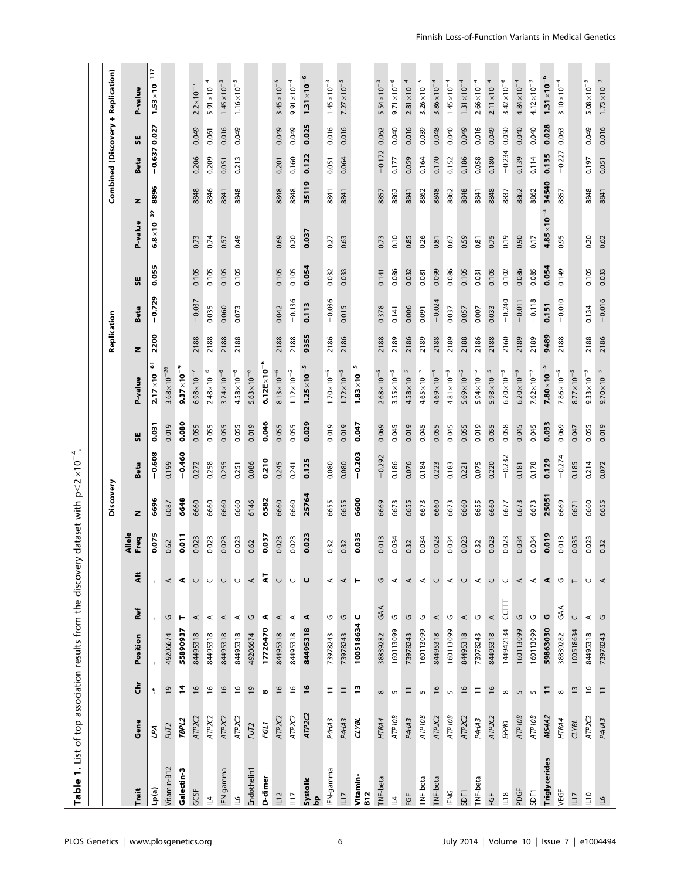| Table 1. List of top association results from the discover |                                 |                  |                |              |          | $\rightarrow$  | dataset with $p < 2 \times 10^{-4}$ . |          |       |                        |             |          |       |                     |       |                |       |                                    |
|------------------------------------------------------------|---------------------------------|------------------|----------------|--------------|----------|----------------|---------------------------------------|----------|-------|------------------------|-------------|----------|-------|---------------------|-------|----------------|-------|------------------------------------|
|                                                            |                                 |                  |                |              |          |                | Discovery                             |          |       |                        | Replication |          |       |                     |       |                |       | Combined (Discovery + Replication) |
| Trait                                                      | Gene                            | 훕                | Position       | Ref          | ₹        | Allele<br>Freq | z                                     | Beta     | 55    | P-value                | z           | Beta     | 55    | P-value             | z     | Beta           | 说     | P-value                            |
| (a)dT                                                      | ГA                              | *,               | $\blacksquare$ | $\mathbf{r}$ |          | 0.075          | 6696                                  | $-0.608$ | 0.031 | $2.17 \times 10^{-81}$ | 2200        | $-0.729$ | 0.055 | $6.8\times10^{-39}$ | 8896  | $-0.637$ 0.027 |       | $1.53 \times 10^{-117}$            |
| Vitamin-B12                                                | FUT2                            | $\overline{0}$   | 49206674       | U            | $\prec$  | 0.62           | 6087                                  | 0.199    | 0.019 | $3.68 \times 10^{-26}$ |             |          |       |                     |       |                |       |                                    |
| Galectin-3                                                 | TBPL2                           | 14               | 55890937       | ۳            | ⋖        | 0.011          | 6648                                  | $-0.460$ | 0.080 | $9.37 \times 10^{-9}$  |             |          |       |                     |       |                |       |                                    |
| GCSF                                                       | ATP <sub>2</sub> C <sub>2</sub> | $\frac{6}{2}$    | 84495318       | ⋖            | $\cup$   | 0.023          | 6660                                  | 0.272    | 0.055 | $6.98 \times 10^{-7}$  | 2188        | $-0.037$ | 0.105 | 0.73                | 8848  | 0.206          | 0.049 | $2.2 \times 10^{-5}$               |
| $\mathbb{I}^4$                                             | ATP <sub>2C2</sub>              | $\frac{6}{1}$    | 84495318       | ⋖            | $\cup$   | 0.023          | 6660                                  | 0.258    | 0.055 | $2.48 \times 10^{-6}$  | 2188        | 0.035    | 0.105 | 0.74                | 8846  | 0.209          | 0.061 | $5.91 \times 10^{-4}$              |
| IFN-gamma                                                  | ATP <sub>2C2</sub>              | 16               | 84495318       | ⋖            | $\cup$   | 0.023          | 6660                                  | 0.255    | 0.055 | $3.24 \times 10^{-6}$  | 2188        | 0.060    | 0.105 | 0.57                | 8841  | 0.051          | 0.016 | $1.45 \times 10^{-3}$              |
| $\frac{6}{1}$                                              | ATP <sub>2C2</sub>              | $\frac{6}{2}$    | 84495318       | ⋖            | C        | 0.023          | 6660                                  | 0.251    | 0.055 | $4.58 \times 10^{-6}$  | 2188        | 0.073    | 0.105 | 0.49                | 8848  | 0.213          | 0.049 | $1.16 \times 10^{-5}$              |
| Endothelin1                                                | FUT <sub>2</sub>                | $\overline{0}$   | 49206674       | U            | $\prec$  | 0.62           | 6146                                  | 0.086    | 0.019 | $5.63 \times 10^{-6}$  |             |          |       |                     |       |                |       |                                    |
| D-dimer                                                    | FGL1                            | $\pmb{\infty}$   | 17726470       | ⋖            | ā        | 0.037          | 6582                                  | 0.210    | 0.046 | $6.12E \times 10^{-6}$ |             |          |       |                     |       |                |       |                                    |
| L12                                                        | ATP <sub>2C2</sub>              | $\frac{6}{2}$    | 84495318       | ⋖            | $\cup$   | 0.023          | 6660                                  | 0.245    | 0.055 | $8.13 \times 10^{-6}$  | 2188        | 0.042    | 0.105 | 0.69                | 8848  | 0.201          | 0.049 | $3.45 \times 10^{-5}$              |
| L17                                                        | ATP <sub>2C2</sub>              | $\frac{6}{2}$    | 84495318       | ⋖            | C        | 0.023          | 6660                                  | 0.241    | 0.055 | $1.12 \times 10^{-5}$  | 2188        | $-0.136$ | 0.105 | 0.20                | 8848  | 0.160          | 0.049 | $9.91 \times 10^{-4}$              |
| Systolic<br>$\mathbf{a}$                                   | ATP <sub>2C2</sub>              | $\frac{6}{2}$    | 84495318       | ⋖            | U        | 0.023          | 25764                                 | 0.125    | 0.029 | $1.25 \times 10^{-5}$  | 9355        | 0.113    | 0.054 | 0.037               | 35119 | 0.122          | 0.025 | $1.31 \times 10^{-6}$              |
| IFN-gamma                                                  | P4HA3                           | $\overline{1}$   | 73978243       | G            | ⋖        | 0.32           | 6655                                  | 0.080    | 0.019 | $1.70 \times 10^{-5}$  | 2186        | $-0.036$ | 0.032 | 0.27                | 8841  | 0.051          | 0.016 | $1.45 \times 10^{-3}$              |
| L17                                                        | P4HA3                           | $\equiv$         | 73978243       | G            | $\prec$  | 0.32           | 6655                                  | 0.080    | 0.019 | $1.72 \times 10^{-5}$  | 2186        | 0.015    | 0.033 | 0.63                | 8841  | 0.064          | 0.016 | $7.27 \times 10^{-5}$              |
| Vitamin-<br><b>B12</b>                                     | <b>CLYBL</b>                    | $\overline{1}$   | 100518634      | U            | ۳        | 0.035          | 6600                                  | $-0.203$ | 0.047 | $1.83 \times 10^{-5}$  |             |          |       |                     |       |                |       |                                    |
| TNF-beta                                                   | HTRA4                           | $\infty$         | 38839282       | GAA          | G        | 0.013          | 6669                                  | $-0.292$ | 0.069 | $2.68 \times 10^{-5}$  | 2188        | 0.378    | 0.141 | 0.73                | 8857  | $-0.172$       | 0.062 | $5.54 \times 10^{-3}$              |
| $\overline{4}$                                             | ATP10B                          | $\mathsf{m}$     | 160113099      | U            | ⋖        | 0.034          | 6673                                  | 0.186    | 0.045 | $3.55\times10^{-5}$    | 2189        | 0.141    | 0.086 | 0.10                | 8862  | 0.177          | 0.040 | $9.71 \times 10^{-6}$              |
| Ğ                                                          | P4HA3                           | $\Xi$            | 73978243       | U            | ⋖        | 0.32           | 6655                                  | 0.076    | 0.019 | $4.58 \times 10^{-5}$  | 2186        | 0.006    | 0.032 | 0.85                | 8841  | 0.059          | 0.016 | $2.81 \times 10^{-4}$              |
| TNF-beta                                                   | ATP <sub>10</sub> B             | LN.              | 160113099      | U            | ⋖        | 0.034          | 6673                                  | 0.184    | 0.045 | $4.65 \times 10^{-5}$  | 2189        | 0.091    | 0.081 | 0.26                | 8862  | 0.164          | 0.039 | $3.26 \times 10^{-5}$              |
| TNF-beta                                                   | ATP <sub>2C2</sub>              | $\frac{6}{2}$    | 84495318       | $\prec$      | U        | 0.023          | 6660                                  | 0.223    | 0.055 | $4.69 \times 10^{-5}$  | 2188        | $-0.024$ | 0.099 | 0.81                | 8848  | 0.170          | 0.048 | $3.86 \times 10^{-4}$              |
| <b>FNG</b>                                                 | ATP10B                          | $\sqrt{2}$       | 160113099      | U            | $\prec$  | 0.034          | 6673                                  | 0.183    | 0.045 | $4.81 \times 10^{-5}$  | 2189        | 0.037    | 0.086 | 0.67                | 8862  | 0.152          | 0.040 | $1.45 \times 10^{-4}$              |
| SDF1                                                       | ATP <sub>2C2</sub>              | $\overline{16}$  | 84495318       | ⋖            | U        | 0.023          | 6660                                  | 0.221    | 0.055 | $5.69 \times 10^{-5}$  | 2188        | 0.057    | 0.105 | 0.59                | 8848  | 0.186          | 0.049 | $1.31 \times 10^{-4}$              |
| TNF-beta                                                   | P4HA3                           | $\equiv$         | 73978243       | U            | ⋖        | 0.32           | 6655                                  | 0.075    | 0.019 | $5.94 \times 10^{-5}$  | 2186        | 0.007    | 0.031 | 0.81                | 8841  | 0.058          | 0.016 | $2.66 \times 10^{-4}$              |
| Ğ                                                          | ATP <sub>2C2</sub>              | $\frac{6}{2}$    | 84495318       | $\prec$      | $\cup$   | 0.023          | 6660                                  | 0.220    | 0.055 | $5.98 \times 10^{-5}$  | 2188        | 0.033    | 0.105 | 0.75                | 8848  | 0.180          | 0.049 | $2.11 \times 10^{-4}$              |
| 18                                                         | EPPK1                           | $\infty$         | 144942134      | EUT          | U        | 0.023          | 6677                                  | $-0.232$ | 0.058 | $6.20 \times 10^{-5}$  | 2160        | $-0.240$ | 0.102 | 0.19                | 8837  | $-0.234$       | 0.050 | $3.42 \times 10^{-6}$              |
| PDGF                                                       | ATP10B                          | 5                | 160113099      | U            | $\prec$  | 0.034          | 6673                                  | 0.181    | 0.045 | $6.20 \times 10^{-5}$  | 2189        | $-0.011$ | 0.086 | 0.90                | 8862  | 0.139          | 0.040 | $4.84 \times 10^{-4}$              |
| SDF1                                                       | ATP10B                          | $\mathsf{L}\cap$ | 160113099      | U            | ⋖        | 0.034          | 6673                                  | 0.178    | 0.045 | $7.62 \times 10^{-5}$  | 2189        | $-0.118$ | 0.085 | 0.17                | 8862  | 0.114          | 0.040 | $4.12 \times 10^{-3}$              |
| <b>Triglycerides</b>                                       | MS4A2                           | Ξ                | 59863030       | ט            | ⋖        | 0.019          | 25051                                 | 0.129    | 0.033 | $7.80\times10^{-5}$    | 9489        | 0.151    | 0.054 | $4.85\times10^{-7}$ | 34540 | 0.135          | 0.028 | $1.31 \times 10^{-6}$              |
| <b>VEGF</b>                                                | HTRA4                           | $\infty$         | 38839282       | GAA          | U        | 0.013          | 6669                                  | $-0.274$ | 0.069 | $7.86 \times 10^{-5}$  | 2188        | $-0.010$ | 0.149 | 0.95                | 8857  | $-0.227$       | 0.063 | $3.10\times10^{-4}$                |
| L17                                                        | <b>CLYBL</b>                    | $\frac{1}{2}$    | 100518634      | $\cup$       | $\vdash$ | 0.035          | 6671                                  | 0.185    | 0.047 | $8.77 \times 10^{-5}$  |             |          |       |                     |       |                |       |                                    |
| $\overline{10}$                                            | ATP <sub>2C2</sub>              | $\frac{6}{2}$    | 84495318       | ⋖            | $\cup$   | 0.023          | 6660                                  | 0.214    | 0.055 | $9.33 \times 10^{-5}$  | 2188        | 0.134    | 0.105 | 0.20                | 8848  | 0.197          | 0.049 | $5.08\times10^{-5}$                |
| $\tilde{=}$                                                | P4HA3                           | $\equiv$         | 73978243       | U            | ⋖        | 0.32           | 6655                                  | 0.072    | 0.019 | $9.70 \times 10^{-5}$  | 2186        | $-0.016$ | 0.033 | 0.62                | 8841  | 0.051          | 0.016 | $1.73 \times 10^{-3}$              |
|                                                            |                                 |                  |                |              |          |                |                                       |          |       |                        |             |          |       |                     |       |                |       |                                    |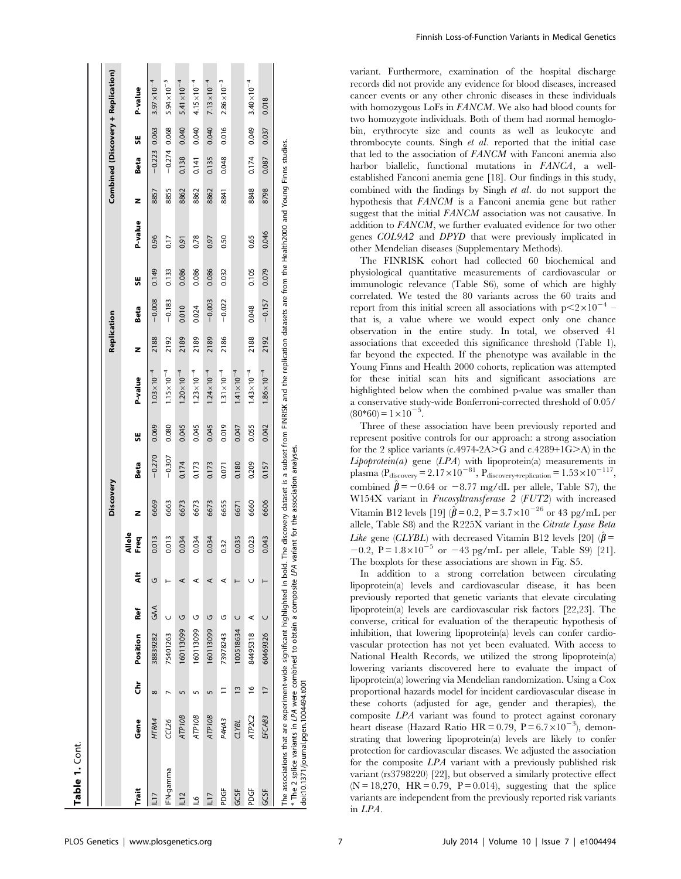| Table 1. Cont.                                                                                                                                                                                                                                                                                                             |                     |                |           |        |   |                |           |                                       |       |                       |             |          |       |         |      |          |       |                                    |
|----------------------------------------------------------------------------------------------------------------------------------------------------------------------------------------------------------------------------------------------------------------------------------------------------------------------------|---------------------|----------------|-----------|--------|---|----------------|-----------|---------------------------------------|-------|-----------------------|-------------|----------|-------|---------|------|----------|-------|------------------------------------|
|                                                                                                                                                                                                                                                                                                                            |                     |                |           |        |   |                | Discovery |                                       |       |                       | Replication |          |       |         |      |          |       | Combined (Discovery + Replication) |
| Trait                                                                                                                                                                                                                                                                                                                      | Gene                | Ğ              | Position  | Ref    | ã | Allele<br>Freq | z         | Beta                                  | 븼     | P-value               | z           | Beta     | 56    | P-value | z    | Beta     | 븼     | P-value                            |
| <b>LII</b>                                                                                                                                                                                                                                                                                                                 | HTRA4               | $\infty$       | 38839282  | GAA    | G | 0.013          | 6669      | $-0.270$                              | 0.069 | $1.03 \times 10^{-4}$ | 2188        | $-0.008$ | 0.149 | 0.96    | 8857 | $-0.223$ | 0.063 | $3.97 \times 10^{-4}$              |
| <b>IFN-gamma</b>                                                                                                                                                                                                                                                                                                           | CCL26               |                | 75401263  |        |   | 0.013          | 6663      | $-0.307$                              | 0.080 | $1.15 \times 10^{-4}$ | 2192        | $-0.183$ | 0.133 | 0.17    | 8855 | $-0.274$ | 0.068 | $5.94 \times 10^{-5}$              |
| 112                                                                                                                                                                                                                                                                                                                        | <b>ATP10B</b>       |                | 160113099 | U      |   | 0.034          | 6673      | 0.174                                 | 0.045 | $1.20 \times 10^{-4}$ | 2189        | 0.010    | 0.086 | 0.91    | 8862 | 0.138    | 0.040 | $5.41 \times 10^{-4}$              |
| 91                                                                                                                                                                                                                                                                                                                         | ATP <sub>10</sub> B |                | 160113099 | U      | ⋖ | 0.034          | 6673      | 0.173                                 | 0.045 | $1.23 \times 10^{-4}$ | 2189        | 0.024    | 0.086 | 0.78    | 8862 | 0.141    | 0.040 | $4.15 \times 10^{-4}$              |
| 117                                                                                                                                                                                                                                                                                                                        | <b>ATP10B</b>       | Lŋ             | 160113099 | U      | ⋖ | 0.034          | 6673      | 0.173                                 | 0.045 | $1.24 \times 10^{-4}$ | 2189        | $-0.003$ | 0.086 | 0.97    | 8862 | 0.135    | 0.040 | $7.13 \times 10^{-4}$              |
| PDGF                                                                                                                                                                                                                                                                                                                       | P4HA3               | Ξ              | 73978243  | U      | ⋖ | 0.32           | 6655      | 0.071                                 | 0.019 | $1.31 \times 10^{-4}$ | 2186        | $-0.022$ | 0.032 | 0.50    | 8841 | 0.048    | 0.016 | $2.86 \times 10^{-3}$              |
| GC5F                                                                                                                                                                                                                                                                                                                       | <b>CLYBL</b>        | $\tilde{=}$    | 100518634 | $\cup$ |   | 0.035          | 6671      | 0.180                                 | 0.047 | $1.41 \times 10^{-4}$ |             |          |       |         |      |          |       |                                    |
| PDGF                                                                                                                                                                                                                                                                                                                       | ATP <sub>2C2</sub>  | $\frac{6}{2}$  | 84495318  | ⋖      |   | 0.023          | 6660      | 0.209                                 | 0.055 | $1.43 \times 10^{-4}$ | 2188        | 0.048    | 0.105 | 0.65    | 8848 | 0.174    | 0.049 | $3.40\times10^{-4}$                |
| GCSF                                                                                                                                                                                                                                                                                                                       | EFCAB3              | $\overline{1}$ | 60469326  | $\cup$ |   | 0.043          | 6606      | 0.157                                 | 0.042 | $1.86 \times 10^{-4}$ | 2192        | $-0.157$ | 0.079 | 0.046   | 8798 | 0.087    | 0.037 | 0.018                              |
| The associations that are experiment-wide significant highlighted in bold. The discovery dataset is a subset from FINRISK and the replication datasets are from the Health2000 and Young Finns studies.<br>* The 2 splice variants in LPA were combined to obtain a composite LPA<br>doi:10.1371/journal.pgen.1004494.t001 |                     |                |           |        |   |                |           | variant for the association analyses. |       |                       |             |          |       |         |      |          |       |                                    |

variant. Furthermore, examination of the hospital discharge records did not provide any evidence for blood diseases, increased cancer events or any other chronic diseases in these individuals with homozygous LoFs in FANCM. We also had blood counts for two homozygote individuals. Both of them had normal hemoglobin, erythrocyte size and counts as well as leukocyte and thrombocyte counts. Singh et al. reported that the initial case that led to the association of FANCM with Fanconi anemia also harbor biallelic, functional mutations in FANCA, a wellestablished Fanconi anemia gene [18]. Our findings in this study, combined with the findings by Singh et al. do not support the hypothesis that FANCM is a Fanconi anemia gene but rather suggest that the initial FANCM association was not causative. In addition to FANCM, we further evaluated evidence for two other genes COL9A2 and DPYD that were previously implicated in other Mendelian diseases (Supplementary Methods).

The FINRISK cohort had collected 60 biochemical and physiological quantitative measurements of cardiovascular or immunologic relevance (Table S6), some of which are highly correlated. We tested the 80 variants across the 60 traits and report from this initial screen all associations with  $p < 2 \times 10^{-4}$  – that is, a value where we would expect only one chance observation in the entire study. In total, we observed 41 associations that exceeded this significance threshold (Table 1), far beyond the expected. If the phenotype was available in the Young Finns and Health 2000 cohorts, replication was attempted for these initial scan hits and significant associations are highlighted below when the combined p-value was smaller than a conservative study-wide Bonferroni-corrected threshold of 0.05/  $(80*60) = 1 \times 10^{-5}$ .

Three of these association have been previously reported and represent positive controls for our approach: a strong association for the 2 splice variants  $(c.4974-2A>C)$  and  $(c.4289+1G>C)$  in the  $Lipoptein(a)$  gene  $(LPA)$  with lipoprotein(a) measurements in plasma ( $P_{discovery} = 2.17 \times 10^{-81}$ ,  $P_{discovery+replication} = 1.53 \times 10^{-117}$ , combined  $\hat{\beta} = -0.64$  or  $-8.77$  mg/dL per allele, Table S7), the W154X variant in Fucosyltransferase 2 (FUT2) with increased Vitamin B12 levels [19]  $(\hat{\beta} = 0.2, P = 3.7 \times 10^{-26} \text{ or } 43 \text{ pg/mL} \text{ per }$ allele, Table S8) and the R225X variant in the Citrate Lyase Beta *Like* gene (*CLYBL*) with decreased Vitamin B12 levels [20] ( $\hat{\beta}$  =  $-0.2$ ,  $P = 1.8 \times 10^{-5}$  or  $-43$  pg/mL per allele, Table S9) [21]. The boxplots for these associations are shown in Fig. S5.

In addition to a strong correlation between circulating lipoprotein(a) levels and cardiovascular disease, it has been previously reported that genetic variants that elevate circulating lipoprotein(a) levels are cardiovascular risk factors [22,23]. The converse, critical for evaluation of the therapeutic hypothesis of inhibition, that lowering lipoprotein(a) levels can confer cardiovascular protection has not yet been evaluated. With access to National Health Records, we utilized the strong lipoprotein(a) lowering variants discovered here to evaluate the impact of lipoprotein(a) lowering via Mendelian randomization. Using a Cox proportional hazards model for incident cardiovascular disease in these cohorts (adjusted for age, gender and therapies), the composite LPA variant was found to protect against coronary heart disease (Hazard Ratio HR =  $0.79$ , P =  $6.7 \times 10^{-3}$ ), demonstrating that lowering lipoprotein(a) levels are likely to confer protection for cardiovascular diseases. We adjusted the association for the composite LPA variant with a previously published risk variant (rs3798220) [22], but observed a similarly protective effect  $(N = 18,270, HR = 0.79, P = 0.014)$ , suggesting that the splice variants are independent from the previously reported risk variants in LPA.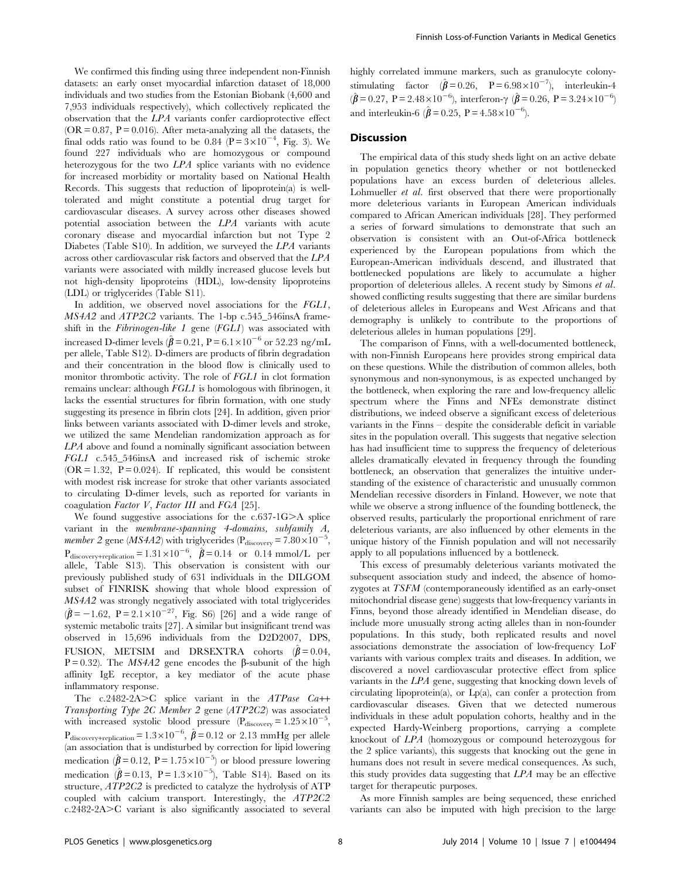We confirmed this finding using three independent non-Finnish datasets: an early onset myocardial infarction dataset of 18,000 individuals and two studies from the Estonian Biobank (4,600 and 7,953 individuals respectively), which collectively replicated the observation that the LPA variants confer cardioprotective effect  $(OR = 0.87, P = 0.016)$ . After meta-analyzing all the datasets, the final odds ratio was found to be 0.84 ( $P = 3 \times 10^{-4}$ , Fig. 3). We found 227 individuals who are homozygous or compound heterozygous for the two LPA splice variants with no evidence for increased morbidity or mortality based on National Health Records. This suggests that reduction of lipoprotein(a) is welltolerated and might constitute a potential drug target for cardiovascular diseases. A survey across other diseases showed potential association between the LPA variants with acute coronary disease and myocardial infarction but not Type 2 Diabetes (Table S10). In addition, we surveyed the LPA variants across other cardiovascular risk factors and observed that the LPA variants were associated with mildly increased glucose levels but not high-density lipoproteins (HDL), low-density lipoproteins (LDL) or triglycerides (Table S11).

In addition, we observed novel associations for the FGL1, MS4A2 and ATP2C2 variants. The 1-bp c.545\_546insA frameshift in the Fibrinogen-like  $1$  gene (FGL1) was associated with increased D-dimer levels ( $\hat{\beta}$  = 0.21, P = 6.1 × 10<sup>-6</sup> or 52.23 ng/mL per allele, Table S12). D-dimers are products of fibrin degradation and their concentration in the blood flow is clinically used to monitor thrombotic activity. The role of FGL1 in clot formation remains unclear: although FGL1 is homologous with fibrinogen, it lacks the essential structures for fibrin formation, with one study suggesting its presence in fibrin clots [24]. In addition, given prior links between variants associated with D-dimer levels and stroke, we utilized the same Mendelian randomization approach as for LPA above and found a nominally significant association between FGL1 c.545\_546insA and increased risk of ischemic stroke  $(OR = 1.32, P = 0.024)$ . If replicated, this would be consistent with modest risk increase for stroke that other variants associated to circulating D-dimer levels, such as reported for variants in coagulation Factor V, Factor III and FGA [25].

We found suggestive associations for the  $c.637-1G>A$  splice variant in the membrane-spanning 4-domains, subfamily A, *member 2* gene (*MS4A2*) with triglycerides ( $P_{discovery} = 7.80 \times 10^{-5}$ ,  $P_{discovery+replication} = 1.31 \times 10^{-6}, \ \hat{\beta} = 0.14 \text{ or } 0.14 \text{ mmol/L per}$ allele, Table S13). This observation is consistent with our previously published study of 631 individuals in the DILGOM subset of FINRISK showing that whole blood expression of MS4A2 was strongly negatively associated with total triglycerides  $(\hat{\beta} = -1.62, P = 2.1 \times 10^{-27},$  Fig. S6) [26] and a wide range of systemic metabolic traits [27]. A similar but insignificant trend was observed in 15,696 individuals from the D2D2007, DPS, FUSION, METSIM and DRSEXTRA cohorts  $(\hat{\beta} = 0.04,$ P = 0.32). The MS4A2 gene encodes the  $\beta$ -subunit of the high affinity IgE receptor, a key mediator of the acute phase inflammatory response.

The c.2482-2A>C splice variant in the  $ATPase$   $Ca++$ Transporting Type 2C Member 2 gene (ATP2C2) was associated with increased systolic blood pressure  $(P_{\text{discovery}} = 1.25 \times 10^{-5}$ ,  $P_{discovery+replication} = 1.3 \times 10^{-6}, \hat{\beta} = 0.12 \text{ or } 2.13 \text{ mmHg per allele}$ (an association that is undisturbed by correction for lipid lowering medication  $(\hat{\beta} = 0.12, P = 1.75 \times 10^{-5})$  or blood pressure lowering medication  $(\hat{\beta} = 0.13, P = 1.3 \times 10^{-5})$ , Table S14). Based on its structure, ATP2C2 is predicted to catalyze the hydrolysis of ATP coupled with calcium transport. Interestingly, the ATP2C2  $c.2482-2A$  $>$ C variant is also significantly associated to several

highly correlated immune markers, such as granulocyte colonystimulating factor  $(\hat{\beta} = 0.26, P = 6.98 \times 10^{-7})$ , interleukin-4  $(\hat{\beta} = 0.27, P = 2.48 \times 10^{-6}),$  interferon- $\gamma$   $(\hat{\beta} = 0.26, P = 3.24 \times 10^{-6})$ and interleukin-6 ( $\hat{\beta} = 0.25, P = 4.58 \times 10^{-6}$ ).

# Discussion

The empirical data of this study sheds light on an active debate in population genetics theory whether or not bottlenecked populations have an excess burden of deleterious alleles. Lohmueller *et al.* first observed that there were proportionally more deleterious variants in European American individuals compared to African American individuals [28]. They performed a series of forward simulations to demonstrate that such an observation is consistent with an Out-of-Africa bottleneck experienced by the European populations from which the European-American individuals descend, and illustrated that bottlenecked populations are likely to accumulate a higher proportion of deleterious alleles. A recent study by Simons et al. showed conflicting results suggesting that there are similar burdens of deleterious alleles in Europeans and West Africans and that demography is unlikely to contribute to the proportions of deleterious alleles in human populations [29].

The comparison of Finns, with a well-documented bottleneck, with non-Finnish Europeans here provides strong empirical data on these questions. While the distribution of common alleles, both synonymous and non-synonymous, is as expected unchanged by the bottleneck, when exploring the rare and low-frequency allelic spectrum where the Finns and NFEs demonstrate distinct distributions, we indeed observe a significant excess of deleterious variants in the Finns – despite the considerable deficit in variable sites in the population overall. This suggests that negative selection has had insufficient time to suppress the frequency of deleterious alleles dramatically elevated in frequency through the founding bottleneck, an observation that generalizes the intuitive understanding of the existence of characteristic and unusually common Mendelian recessive disorders in Finland. However, we note that while we observe a strong influence of the founding bottleneck, the observed results, particularly the proportional enrichment of rare deleterious variants, are also influenced by other elements in the unique history of the Finnish population and will not necessarily apply to all populations influenced by a bottleneck.

This excess of presumably deleterious variants motivated the subsequent association study and indeed, the absence of homozygotes at TSFM (contemporaneously identified as an early-onset mitochondrial disease gene) suggests that low-frequency variants in Finns, beyond those already identified in Mendelian disease, do include more unusually strong acting alleles than in non-founder populations. In this study, both replicated results and novel associations demonstrate the association of low-frequency LoF variants with various complex traits and diseases. In addition, we discovered a novel cardiovascular protective effect from splice variants in the LPA gene, suggesting that knocking down levels of circulating lipoprotein(a), or Lp(a), can confer a protection from cardiovascular diseases. Given that we detected numerous individuals in these adult population cohorts, healthy and in the expected Hardy-Weinberg proportions, carrying a complete knockout of LPA (homozygous or compound heterozygous for the 2 splice variants), this suggests that knocking out the gene in humans does not result in severe medical consequences. As such, this study provides data suggesting that LPA may be an effective target for therapeutic purposes.

As more Finnish samples are being sequenced, these enriched variants can also be imputed with high precision to the large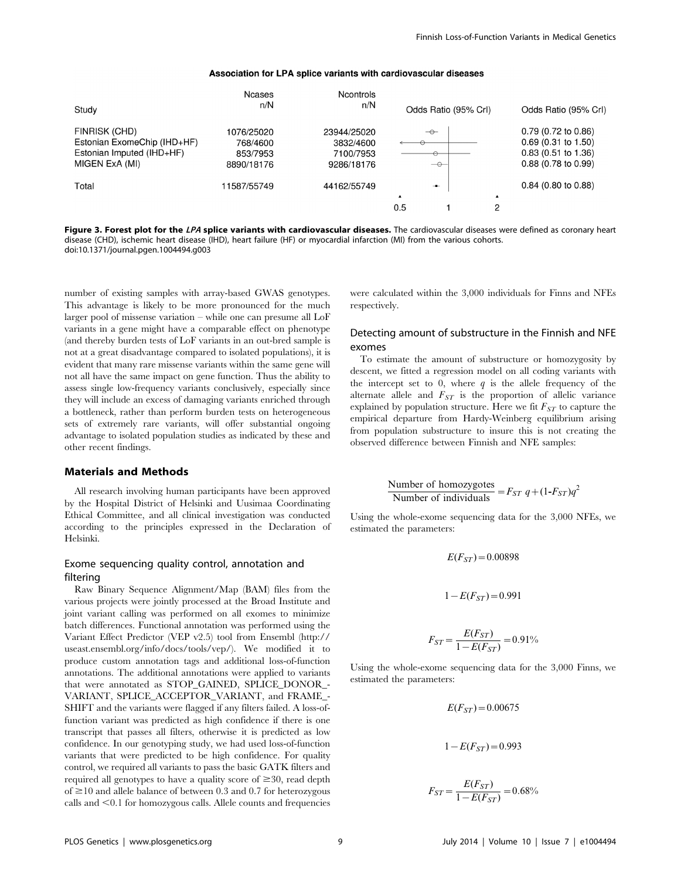## Association for LPA splice variants with cardiovascular diseases

|                             | Ncases      | <b>Ncontrols</b> |                  |                      |                  |                               |
|-----------------------------|-------------|------------------|------------------|----------------------|------------------|-------------------------------|
| Study                       | n/N         | n/N              |                  | Odds Ratio (95% Crl) |                  | Odds Ratio (95% CrI)          |
| FINRISK (CHD)               | 1076/25020  | 23944/25020      |                  | $\rightarrow$        |                  | $0.79(0.72 \text{ to } 0.86)$ |
| Estonian ExomeChip (IHD+HF) | 768/4600    | 3832/4600        | ⊖                |                      |                  | $0.69$ (0.31 to 1.50)         |
| Estonian Imputed (IHD+HF)   | 853/7953    | 7100/7953        |                  | $\Theta$             |                  | $0.83$ (0.51 to 1.36)         |
| MIGEN ExA (MI)              | 8890/18176  | 9286/18176       |                  | $\rightarrow$        |                  | $0.88$ (0.78 to 0.99)         |
| Total                       | 11587/55749 | 44162/55749      |                  | $\mathbf{-0}$        |                  | $0.84$ (0.80 to 0.88)         |
|                             |             |                  | $\blacktriangle$ |                      | $\blacktriangle$ |                               |
|                             |             |                  | 0.5              |                      | 2                |                               |

Figure 3. Forest plot for the LPA splice variants with cardiovascular diseases. The cardiovascular diseases were defined as coronary heart disease (CHD), ischemic heart disease (IHD), heart failure (HF) or myocardial infarction (MI) from the various cohorts. doi:10.1371/journal.pgen.1004494.g003

number of existing samples with array-based GWAS genotypes. This advantage is likely to be more pronounced for the much larger pool of missense variation – while one can presume all LoF variants in a gene might have a comparable effect on phenotype (and thereby burden tests of LoF variants in an out-bred sample is not at a great disadvantage compared to isolated populations), it is evident that many rare missense variants within the same gene will not all have the same impact on gene function. Thus the ability to assess single low-frequency variants conclusively, especially since they will include an excess of damaging variants enriched through a bottleneck, rather than perform burden tests on heterogeneous sets of extremely rare variants, will offer substantial ongoing advantage to isolated population studies as indicated by these and other recent findings.

# Materials and Methods

All research involving human participants have been approved by the Hospital District of Helsinki and Uusimaa Coordinating Ethical Committee, and all clinical investigation was conducted according to the principles expressed in the Declaration of Helsinki.

# Exome sequencing quality control, annotation and filtering

Raw Binary Sequence Alignment/Map (BAM) files from the various projects were jointly processed at the Broad Institute and joint variant calling was performed on all exomes to minimize batch differences. Functional annotation was performed using the Variant Effect Predictor (VEP v2.5) tool from Ensembl ([http://](http://useast.ensembl.org/info/docs/tools/vep/) [useast.ensembl.org/info/docs/tools/vep/\)](http://useast.ensembl.org/info/docs/tools/vep/). We modified it to produce custom annotation tags and additional loss-of-function annotations. The additional annotations were applied to variants that were annotated as STOP\_GAINED, SPLICE\_DONOR\_- VARIANT, SPLICE\_ACCEPTOR\_VARIANT, and FRAME\_- SHIFT and the variants were flagged if any filters failed. A loss-offunction variant was predicted as high confidence if there is one transcript that passes all filters, otherwise it is predicted as low confidence. In our genotyping study, we had used loss-of-function variants that were predicted to be high confidence. For quality control, we required all variants to pass the basic GATK filters and required all genotypes to have a quality score of  $\geq 30$ , read depth of  $\geq$ 10 and allele balance of between 0.3 and 0.7 for heterozygous calls and  $\leq 0.1$  for homozygous calls. Allele counts and frequencies

were calculated within the 3,000 individuals for Finns and NFEs respectively.

# Detecting amount of substructure in the Finnish and NFE exomes

To estimate the amount of substructure or homozygosity by descent, we fitted a regression model on all coding variants with the intercept set to 0, where  $q$  is the allele frequency of the alternate allele and  $F_{ST}$  is the proportion of allelic variance explained by population structure. Here we fit  $F_{ST}$  to capture the empirical departure from Hardy-Weinberg equilibrium arising from population substructure to insure this is not creating the observed difference between Finnish and NFE samples:

Number of homozygotes  
Number of individuals = 
$$
F_{ST} q + (1 - F_{ST})q^2
$$

Using the whole-exome sequencing data for the 3,000 NFEs, we estimated the parameters:

$$
E(F_{ST}) = 0.00898
$$

$$
1 - E(F_{ST}) = 0.991
$$

$$
F_{ST} = \frac{E(F_{ST})}{1 - E(F_{ST})} = 0.91\%
$$

Using the whole-exome sequencing data for the 3,000 Finns, we estimated the parameters:

$$
E(F_{ST}) = 0.00675
$$
  

$$
1 - E(F_{ST}) = 0.993
$$

$$
F_{ST} = \frac{E(F_{ST})}{1 - E(F_{ST})} = 0.68\%
$$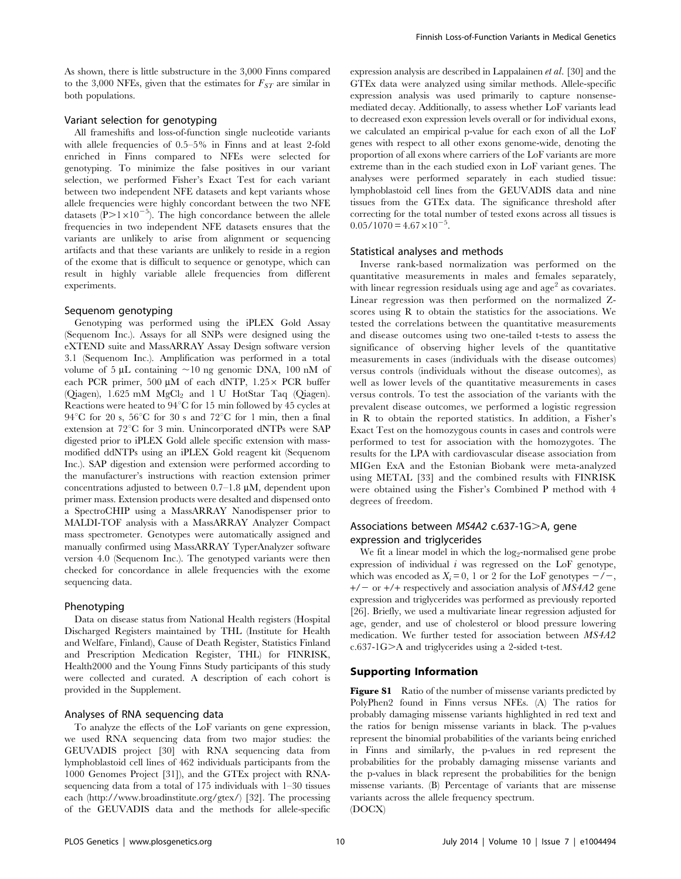As shown, there is little substructure in the 3,000 Finns compared to the 3,000 NFEs, given that the estimates for  $F_{ST}$  are similar in both populations.

# Variant selection for genotyping

All frameshifts and loss-of-function single nucleotide variants with allele frequencies of 0.5–5% in Finns and at least 2-fold enriched in Finns compared to NFEs were selected for genotyping. To minimize the false positives in our variant selection, we performed Fisher's Exact Test for each variant between two independent NFE datasets and kept variants whose allele frequencies were highly concordant between the two NFE datasets ( $\rm P$ >1×10<sup>-5</sup>). The high concordance between the allele frequencies in two independent NFE datasets ensures that the variants are unlikely to arise from alignment or sequencing artifacts and that these variants are unlikely to reside in a region of the exome that is difficult to sequence or genotype, which can result in highly variable allele frequencies from different experiments.

#### Sequenom genotyping

Genotyping was performed using the iPLEX Gold Assay (Sequenom Inc.). Assays for all SNPs were designed using the eXTEND suite and MassARRAY Assay Design software version 3.1 (Sequenom Inc.). Amplification was performed in a total volume of 5  $\mu$ L containing ~10 ng genomic DNA, 100 nM of each PCR primer, 500  $\mu$ M of each dNTP, 1.25 $\times$  PCR buffer (Qiagen), 1.625 mM MgCl<sub>2</sub> and 1 U HotStar Taq (Qiagen). Reactions were heated to  $94^{\circ}$ C for 15 min followed by 45 cycles at 94 $\rm ^{\circ}C$  for 20 s, 56 $\rm ^{\circ}C$  for 30 s and 72 $\rm ^{\circ}C$  for 1 min, then a final extension at 72°C for 3 min. Unincorporated dNTPs were SAP digested prior to iPLEX Gold allele specific extension with massmodified ddNTPs using an iPLEX Gold reagent kit (Sequenom Inc.). SAP digestion and extension were performed according to the manufacturer's instructions with reaction extension primer concentrations adjusted to between  $0.7-1.8 \mu M$ , dependent upon primer mass. Extension products were desalted and dispensed onto a SpectroCHIP using a MassARRAY Nanodispenser prior to MALDI-TOF analysis with a MassARRAY Analyzer Compact mass spectrometer. Genotypes were automatically assigned and manually confirmed using MassARRAY TyperAnalyzer software version 4.0 (Sequenom Inc.). The genotyped variants were then checked for concordance in allele frequencies with the exome sequencing data.

## Phenotyping

Data on disease status from National Health registers (Hospital Discharged Registers maintained by THL (Institute for Health and Welfare, Finland), Cause of Death Register, Statistics Finland and Prescription Medication Register, THL) for FINRISK, Health2000 and the Young Finns Study participants of this study were collected and curated. A description of each cohort is provided in the Supplement.

# Analyses of RNA sequencing data

To analyze the effects of the LoF variants on gene expression, we used RNA sequencing data from two major studies: the GEUVADIS project [30] with RNA sequencing data from lymphoblastoid cell lines of 462 individuals participants from the 1000 Genomes Project [31]), and the GTEx project with RNAsequencing data from a total of 175 individuals with 1–30 tissues each [\(http://www.broadinstitute.org/gtex/](http://www.broadinstitute.org/gtex/)) [32]. The processing of the GEUVADIS data and the methods for allele-specific expression analysis are described in Lappalainen et al. [30] and the GTEx data were analyzed using similar methods. Allele-specific expression analysis was used primarily to capture nonsensemediated decay. Additionally, to assess whether LoF variants lead to decreased exon expression levels overall or for individual exons, we calculated an empirical p-value for each exon of all the LoF genes with respect to all other exons genome-wide, denoting the proportion of all exons where carriers of the LoF variants are more extreme than in the each studied exon in LoF variant genes. The analyses were performed separately in each studied tissue: lymphoblastoid cell lines from the GEUVADIS data and nine tissues from the GTEx data. The significance threshold after correcting for the total number of tested exons across all tissues is  $0.05/1070 = 4.67 \times 10^{-5}$ .

### Statistical analyses and methods

Inverse rank-based normalization was performed on the quantitative measurements in males and females separately, with linear regression residuals using age and  $\alpha$  as covariates. Linear regression was then performed on the normalized Zscores using R to obtain the statistics for the associations. We tested the correlations between the quantitative measurements and disease outcomes using two one-tailed t-tests to assess the significance of observing higher levels of the quantitative measurements in cases (individuals with the disease outcomes) versus controls (individuals without the disease outcomes), as well as lower levels of the quantitative measurements in cases versus controls. To test the association of the variants with the prevalent disease outcomes, we performed a logistic regression in R to obtain the reported statistics. In addition, a Fisher's Exact Test on the homozygous counts in cases and controls were performed to test for association with the homozygotes. The results for the LPA with cardiovascular disease association from MIGen ExA and the Estonian Biobank were meta-analyzed using METAL [33] and the combined results with FINRISK were obtained using the Fisher's Combined P method with 4 degrees of freedom.

# Associations between MS4A2 c.637-1G>A, gene expression and triglycerides

We fit a linear model in which the log<sub>2</sub>-normalised gene probe expression of individual  $i$  was regressed on the LoF genotype, which was encoded as  $X_i = 0$ , 1 or 2 for the LoF genotypes  $-\prime -$ ,  $+/-$  or  $+/-$  respectively and association analysis of MS4A2 gene expression and triglycerides was performed as previously reported [26]. Briefly, we used a multivariate linear regression adjusted for age, gender, and use of cholesterol or blood pressure lowering medication. We further tested for association between MS4A2  $c.637-1G$ A and triglycerides using a 2-sided t-test.

### Supporting Information

Figure S1 Ratio of the number of missense variants predicted by PolyPhen2 found in Finns versus NFEs. (A) The ratios for probably damaging missense variants highlighted in red text and the ratios for benign missense variants in black. The p-values represent the binomial probabilities of the variants being enriched in Finns and similarly, the p-values in red represent the probabilities for the probably damaging missense variants and the p-values in black represent the probabilities for the benign missense variants. (B) Percentage of variants that are missense variants across the allele frequency spectrum. (DOCX)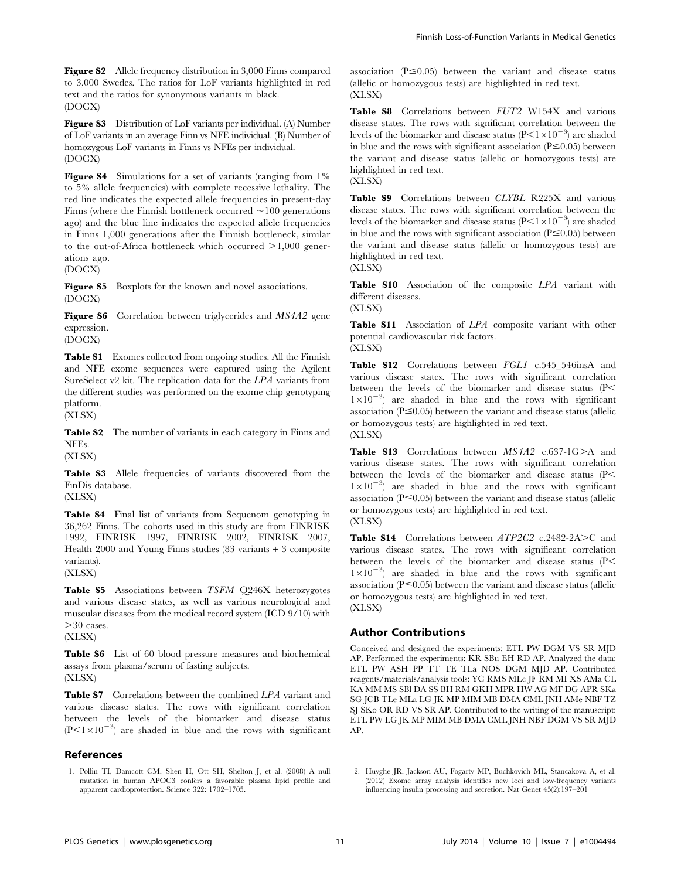Figure S2 Allele frequency distribution in 3,000 Finns compared to 3,000 Swedes. The ratios for LoF variants highlighted in red text and the ratios for synonymous variants in black. (DOCX)

Figure S3 Distribution of LoF variants per individual. (A) Number of LoF variants in an average Finn vs NFE individual. (B) Number of homozygous LoF variants in Finns vs NFEs per individual. (DOCX)

Figure S4 Simulations for a set of variants (ranging from 1%) to 5% allele frequencies) with complete recessive lethality. The red line indicates the expected allele frequencies in present-day Finns (where the Finnish bottleneck occurred  $\sim$ 100 generations ago) and the blue line indicates the expected allele frequencies in Finns 1,000 generations after the Finnish bottleneck, similar to the out-of-Africa bottleneck which occurred  $>1,000$  generations ago.

(DOCX)

Figure S5 Boxplots for the known and novel associations. (DOCX)

Figure S6 Correlation between triglycerides and MS4A2 gene expression.

(DOCX)

Table S1 Exomes collected from ongoing studies. All the Finnish and NFE exome sequences were captured using the Agilent SureSelect v2 kit. The replication data for the LPA variants from the different studies was performed on the exome chip genotyping platform.

(XLSX)

**Table S2** The number of variants in each category in Finns and NFEs.

(XLSX)

Table S3 Allele frequencies of variants discovered from the FinDis database.

(XLSX)

Table S4 Final list of variants from Sequenom genotyping in 36,262 Finns. The cohorts used in this study are from FINRISK 1992, FINRISK 1997, FINRISK 2002, FINRISK 2007, Health 2000 and Young Finns studies (83 variants + 3 composite variants). (XLSX)

Table S5 Associations between TSFM Q246X heterozygotes and various disease states, as well as various neurological and muscular diseases from the medical record system (ICD 9/10) with  $>30$  cases.

(XLSX)

Table S6 List of 60 blood pressure measures and biochemical assays from plasma/serum of fasting subjects. (XLSX)

Table S7 Correlations between the combined LPA variant and various disease states. The rows with significant correlation between the levels of the biomarker and disease status  $(P<1\times10^{-3})$  are shaded in blue and the rows with significant

# References

association ( $P \le 0.05$ ) between the variant and disease status (allelic or homozygous tests) are highlighted in red text. (XLSX)

Table S8 Correlations between FUT2 W154X and various disease states. The rows with significant correlation between the levels of the biomarker and disease status ( $P<1\times10^{-3}$ ) are shaded in blue and the rows with significant association  $(P \le 0.05)$  between the variant and disease status (allelic or homozygous tests) are highlighted in red text.

(XLSX)

Table S9 Correlations between CLYBL R225X and various disease states. The rows with significant correlation between the levels of the biomarker and disease status ( $P<1\times10^{-3}$ ) are shaded in blue and the rows with significant association  $(P \le 0.05)$  between the variant and disease status (allelic or homozygous tests) are highlighted in red text. (XLSX)

Table S10 Association of the composite LPA variant with different diseases.

(XLSX)

Table S11 Association of LPA composite variant with other potential cardiovascular risk factors. (XLSX)

Table S12 Correlations between FGL1 c.545\_546insA and various disease states. The rows with significant correlation between the levels of the biomarker and disease status  $(P<$  $1\times10^{-3}$ ) are shaded in blue and the rows with significant association ( $P \le 0.05$ ) between the variant and disease status (allelic or homozygous tests) are highlighted in red text. (XLSX)

Table S13 Correlations between MS4A2 c.637-1G>A and various disease states. The rows with significant correlation between the levels of the biomarker and disease status  $(P<$  $1\times10^{-3}$ ) are shaded in blue and the rows with significant association ( $P \le 0.05$ ) between the variant and disease status (allelic or homozygous tests) are highlighted in red text. (XLSX)

Table S14 Correlations between ATP2C2 c.2482-2A>C and various disease states. The rows with significant correlation between the levels of the biomarker and disease status ( $P$ <  $1\times10^{-3}$ ) are shaded in blue and the rows with significant association ( $P \le 0.05$ ) between the variant and disease status (allelic or homozygous tests) are highlighted in red text. (XLSX)

# Author Contributions

Conceived and designed the experiments: ETL PW DGM VS SR MJD AP. Performed the experiments: KR SBu EH RD AP. Analyzed the data: ETL PW ASH PP TT TE TLa NOS DGM MJD AP. Contributed reagents/materials/analysis tools: YC RMS MLe JF RM MI XS AMa CL KA MM MS SBl DA SS BH RM GKH MPR HW AG MF DG APR SKa SG JCB TLe MLa LG JK MP MIM MB DMA CML JNH AMe NBF TZ SJ SKo OR RD VS SR AP. Contributed to the writing of the manuscript: ETL PW LG JK MP MIM MB DMA CML JNH NBF DGM VS SR MJD AP.

2. Huyghe JR, Jackson AU, Fogarty MP, Buchkovich ML, Stancakova A, et al. (2012) Exome array analysis identifies new loci and low-frequency variants influencing insulin processing and secretion. Nat Genet 45(2):197–201

<sup>1.</sup> Pollin TI, Damcott CM, Shen H, Ott SH, Shelton J, et al. (2008) A null mutation in human APOC3 confers a favorable plasma lipid profile and apparent cardioprotection. Science 322: 1702–1705.